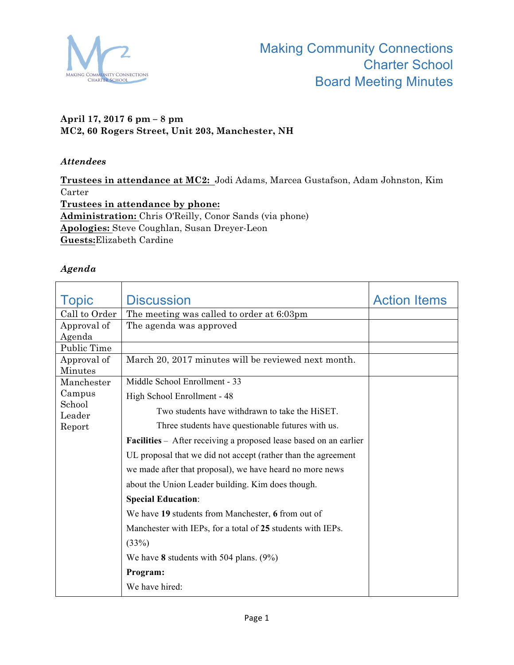

## **April 17, 2017 6 pm – 8 pm MC2, 60 Rogers Street, Unit 203, Manchester, NH**

## *Attendees*

**Trustees in attendance at MC2:** Jodi Adams, Marcea Gustafson, Adam Johnston, Kim Carter **Trustees in attendance by phone: Administration:** Chris O'Reilly, Conor Sands (via phone) **Apologies:** Steve Coughlan, Susan Dreyer-Leon **Guests:**Elizabeth Cardine

## *Agenda*

| Topic                  | <b>Discussion</b>                                                 | <b>Action Items</b> |
|------------------------|-------------------------------------------------------------------|---------------------|
| Call to Order          | The meeting was called to order at 6:03pm                         |                     |
| Approval of            | The agenda was approved                                           |                     |
| Agenda                 |                                                                   |                     |
| Public Time            |                                                                   |                     |
| Approval of<br>Minutes | March 20, 2017 minutes will be reviewed next month.               |                     |
| Manchester             | Middle School Enrollment - 33                                     |                     |
| Campus                 | High School Enrollment - 48                                       |                     |
| School<br>Leader       | Two students have withdrawn to take the HiSET.                    |                     |
| Report                 | Three students have questionable futures with us.                 |                     |
|                        | Facilities - After receiving a proposed lease based on an earlier |                     |
|                        | UL proposal that we did not accept (rather than the agreement     |                     |
|                        | we made after that proposal), we have heard no more news          |                     |
|                        | about the Union Leader building. Kim does though.                 |                     |
|                        | <b>Special Education:</b>                                         |                     |
|                        | We have 19 students from Manchester, 6 from out of                |                     |
|                        | Manchester with IEPs, for a total of 25 students with IEPs.       |                     |
|                        | (33%)                                                             |                     |
|                        | We have 8 students with 504 plans. $(9\%)$                        |                     |
|                        | Program:                                                          |                     |
|                        | We have hired:                                                    |                     |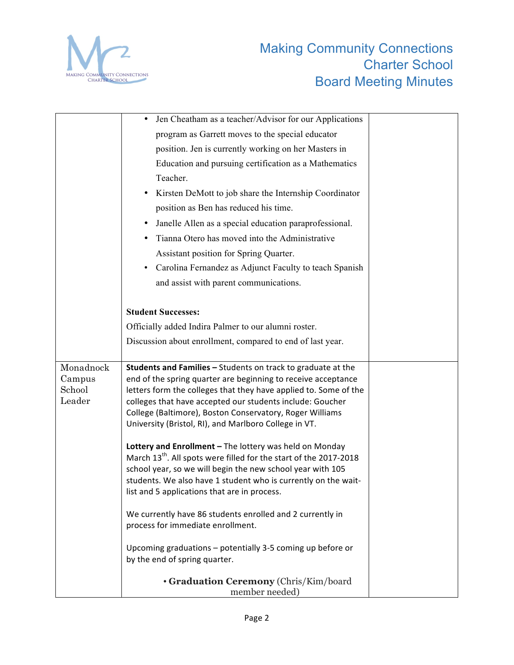

|                     | Jen Cheatham as a teacher/Advisor for our Applications                                                                                      |
|---------------------|---------------------------------------------------------------------------------------------------------------------------------------------|
|                     | program as Garrett moves to the special educator                                                                                            |
|                     | position. Jen is currently working on her Masters in                                                                                        |
|                     | Education and pursuing certification as a Mathematics                                                                                       |
|                     | Teacher.                                                                                                                                    |
|                     | Kirsten DeMott to job share the Internship Coordinator                                                                                      |
|                     | position as Ben has reduced his time.                                                                                                       |
|                     | Janelle Allen as a special education paraprofessional.                                                                                      |
|                     | Tianna Otero has moved into the Administrative                                                                                              |
|                     | Assistant position for Spring Quarter.                                                                                                      |
|                     | Carolina Fernandez as Adjunct Faculty to teach Spanish                                                                                      |
|                     | and assist with parent communications.                                                                                                      |
|                     |                                                                                                                                             |
|                     | <b>Student Successes:</b>                                                                                                                   |
|                     | Officially added Indira Palmer to our alumni roster.                                                                                        |
|                     | Discussion about enrollment, compared to end of last year.                                                                                  |
|                     |                                                                                                                                             |
| Monadnock<br>Campus | Students and Families - Students on track to graduate at the<br>end of the spring quarter are beginning to receive acceptance               |
| School              | letters form the colleges that they have applied to. Some of the                                                                            |
| Leader              | colleges that have accepted our students include: Goucher                                                                                   |
|                     | College (Baltimore), Boston Conservatory, Roger Williams<br>University (Bristol, RI), and Marlboro College in VT.                           |
|                     |                                                                                                                                             |
|                     | Lottery and Enrollment - The lottery was held on Monday                                                                                     |
|                     | March 13 <sup>th</sup> . All spots were filled for the start of the 2017-2018<br>school year, so we will begin the new school year with 105 |
|                     | students. We also have 1 student who is currently on the wait-                                                                              |
|                     | list and 5 applications that are in process.                                                                                                |
|                     |                                                                                                                                             |
|                     | We currently have 86 students enrolled and 2 currently in<br>process for immediate enrollment.                                              |
|                     |                                                                                                                                             |
|                     | Upcoming graduations - potentially 3-5 coming up before or                                                                                  |
|                     | by the end of spring quarter.                                                                                                               |
|                     | · Graduation Ceremony (Chris/Kim/board<br>member needed)                                                                                    |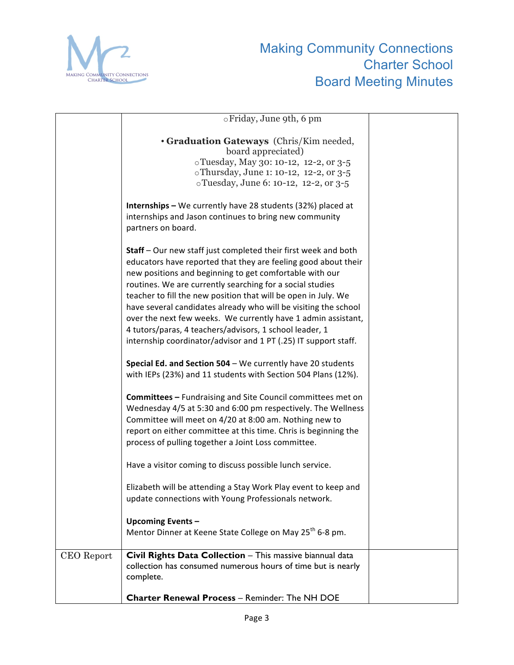

|            | ⊙Friday, June 9th, 6 pm                                                                                                                     |  |
|------------|---------------------------------------------------------------------------------------------------------------------------------------------|--|
|            | • Graduation Gateways (Chris/Kim needed,<br>board appreciated)                                                                              |  |
|            | oTuesday, May 30: 10-12, 12-2, or 3-5                                                                                                       |  |
|            | oThursday, June 1: 10-12, 12-2, or 3-5                                                                                                      |  |
|            | oTuesday, June 6: 10-12, 12-2, or 3-5                                                                                                       |  |
|            | Internships - We currently have 28 students (32%) placed at<br>internships and Jason continues to bring new community<br>partners on board. |  |
|            | <b>Staff</b> – Our new staff just completed their first week and both                                                                       |  |
|            | educators have reported that they are feeling good about their                                                                              |  |
|            | new positions and beginning to get comfortable with our                                                                                     |  |
|            | routines. We are currently searching for a social studies                                                                                   |  |
|            | teacher to fill the new position that will be open in July. We                                                                              |  |
|            | have several candidates already who will be visiting the school                                                                             |  |
|            | over the next few weeks. We currently have 1 admin assistant,                                                                               |  |
|            | 4 tutors/paras, 4 teachers/advisors, 1 school leader, 1                                                                                     |  |
|            | internship coordinator/advisor and 1 PT (.25) IT support staff.                                                                             |  |
|            |                                                                                                                                             |  |
|            | Special Ed. and Section 504 - We currently have 20 students<br>with IEPs (23%) and 11 students with Section 504 Plans (12%).                |  |
|            | <b>Committees - Fundraising and Site Council committees met on</b>                                                                          |  |
|            | Wednesday 4/5 at 5:30 and 6:00 pm respectively. The Wellness                                                                                |  |
|            | Committee will meet on 4/20 at 8:00 am. Nothing new to                                                                                      |  |
|            | report on either committee at this time. Chris is beginning the                                                                             |  |
|            | process of pulling together a Joint Loss committee.                                                                                         |  |
|            | Have a visitor coming to discuss possible lunch service.                                                                                    |  |
|            | Elizabeth will be attending a Stay Work Play event to keep and                                                                              |  |
|            | update connections with Young Professionals network.                                                                                        |  |
|            |                                                                                                                                             |  |
|            | <b>Upcoming Events-</b>                                                                                                                     |  |
|            | Mentor Dinner at Keene State College on May 25 <sup>th</sup> 6-8 pm.                                                                        |  |
|            |                                                                                                                                             |  |
| CEO Report | Civil Rights Data Collection - This massive biannual data<br>collection has consumed numerous hours of time but is nearly<br>complete.      |  |
|            |                                                                                                                                             |  |
|            | <b>Charter Renewal Process - Reminder: The NH DOE</b>                                                                                       |  |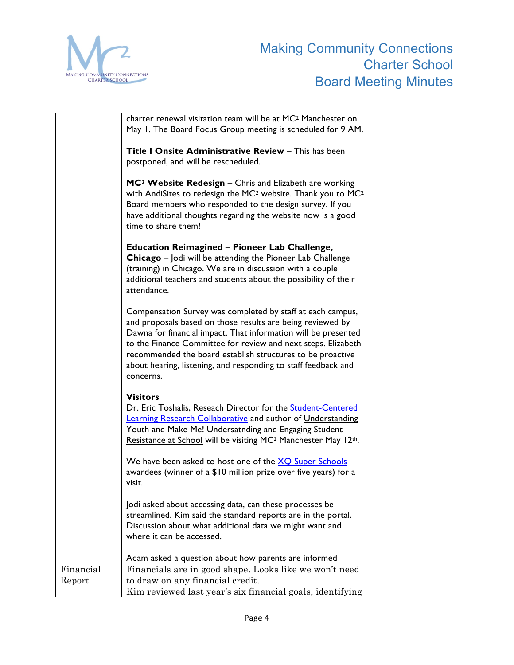

|                     | charter renewal visitation team will be at MC <sup>2</sup> Manchester on<br>May 1. The Board Focus Group meeting is scheduled for 9 AM.                                                                                                                                                                                                                                                                  |  |
|---------------------|----------------------------------------------------------------------------------------------------------------------------------------------------------------------------------------------------------------------------------------------------------------------------------------------------------------------------------------------------------------------------------------------------------|--|
|                     | Title I Onsite Administrative Review - This has been<br>postponed, and will be rescheduled.                                                                                                                                                                                                                                                                                                              |  |
|                     | $MC2$ Website Redesign – Chris and Elizabeth are working<br>with AndiSites to redesign the MC <sup>2</sup> website. Thank you to MC <sup>2</sup><br>Board members who responded to the design survey. If you<br>have additional thoughts regarding the website now is a good<br>time to share them!                                                                                                      |  |
|                     | <b>Education Reimagined – Pioneer Lab Challenge,</b><br>Chicago - Jodi will be attending the Pioneer Lab Challenge<br>(training) in Chicago. We are in discussion with a couple<br>additional teachers and students about the possibility of their<br>attendance.                                                                                                                                        |  |
|                     | Compensation Survey was completed by staff at each campus,<br>and proposals based on those results are being reviewed by<br>Dawna for financial impact. That information will be presented<br>to the Finance Committee for review and next steps. Elizabeth<br>recommended the board establish structures to be proactive<br>about hearing, listening, and responding to staff feedback and<br>concerns. |  |
|                     | <b>Visitors</b><br>Dr. Eric Toshalis, Reseach Director for the Student-Centered<br><b>Learning Research Collaborative and author of Understanding</b><br>Youth and Make Me! Undersatnding and Engaging Student<br>Resistance at School will be visiting MC <sup>2</sup> Manchester May 12th.                                                                                                             |  |
|                     | We have been asked to host one of the XQ Super Schools<br>awardees (winner of a \$10 million prize over five years) for a<br>visit.                                                                                                                                                                                                                                                                      |  |
|                     | Jodi asked about accessing data, can these processes be<br>streamlined. Kim said the standard reports are in the portal.<br>Discussion about what additional data we might want and<br>where it can be accessed.                                                                                                                                                                                         |  |
|                     | Adam asked a question about how parents are informed                                                                                                                                                                                                                                                                                                                                                     |  |
| Financial<br>Report | Financials are in good shape. Looks like we won't need<br>to draw on any financial credit.                                                                                                                                                                                                                                                                                                               |  |
|                     | Kim reviewed last year's six financial goals, identifying                                                                                                                                                                                                                                                                                                                                                |  |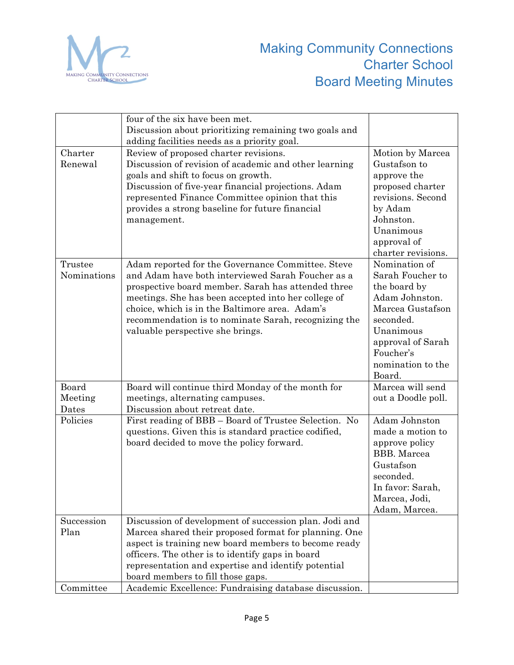

|                        | four of the six have been met.<br>Discussion about prioritizing remaining two goals and                                                                                                                                                                                                                                                                           |                                                                                                                                                                                    |
|------------------------|-------------------------------------------------------------------------------------------------------------------------------------------------------------------------------------------------------------------------------------------------------------------------------------------------------------------------------------------------------------------|------------------------------------------------------------------------------------------------------------------------------------------------------------------------------------|
|                        | adding facilities needs as a priority goal.                                                                                                                                                                                                                                                                                                                       |                                                                                                                                                                                    |
| Charter<br>Renewal     | Review of proposed charter revisions.<br>Discussion of revision of academic and other learning<br>goals and shift to focus on growth.<br>Discussion of five-year financial projections. Adam<br>represented Finance Committee opinion that this<br>provides a strong baseline for future financial<br>management.                                                 | Motion by Marcea<br>Gustafson to<br>approve the<br>proposed charter<br>revisions. Second<br>by Adam<br>Johnston.<br>Unanimous<br>approval of<br>charter revisions.                 |
| Trustee<br>Nominations | Adam reported for the Governance Committee. Steve<br>and Adam have both interviewed Sarah Foucher as a<br>prospective board member. Sarah has attended three<br>meetings. She has been accepted into her college of<br>choice, which is in the Baltimore area. Adam's<br>recommendation is to nominate Sarah, recognizing the<br>valuable perspective she brings. | Nomination of<br>Sarah Foucher to<br>the board by<br>Adam Johnston.<br>Marcea Gustafson<br>seconded.<br>Unanimous<br>approval of Sarah<br>Foucher's<br>nomination to the<br>Board. |
| Board<br>Meeting       | Board will continue third Monday of the month for<br>meetings, alternating campuses.                                                                                                                                                                                                                                                                              | Marcea will send<br>out a Doodle poll.                                                                                                                                             |
| Dates<br>Policies      | Discussion about retreat date.<br>First reading of BBB - Board of Trustee Selection. No<br>questions. Given this is standard practice codified,<br>board decided to move the policy forward.                                                                                                                                                                      | Adam Johnston<br>made a motion to<br>approve policy<br><b>BBB.</b> Marcea<br>Gustafson<br>seconded.<br>In favor: Sarah,<br>Marcea, Jodi,<br>Adam, Marcea.                          |
| Succession<br>Plan     | Discussion of development of succession plan. Jodi and<br>Marcea shared their proposed format for planning. One<br>aspect is training new board members to become ready<br>officers. The other is to identify gaps in board<br>representation and expertise and identify potential<br>board members to fill those gaps.                                           |                                                                                                                                                                                    |
| Committee              | Academic Excellence: Fundraising database discussion.                                                                                                                                                                                                                                                                                                             |                                                                                                                                                                                    |